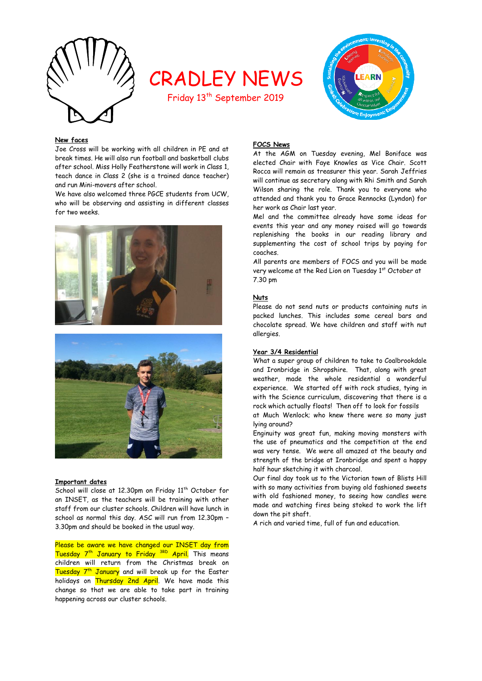

# CRADLEY NEWS

Friday 13<sup>th</sup> September 2019



# **New faces**

Joe Cross will be working with all children in PE and at break times. He will also run football and basketball clubs after school. Miss Holly Featherstone will work in Class 1, teach dance in Class 2 (she is a trained dance teacher) and run Mini-movers after school.

We have also welcomed three PGCE students from UCW, who will be observing and assisting in different classes for two weeks.





## **Important dates**

School will close at 12.30pm on Friday 11<sup>th</sup> October for an INSET, as the teachers will be training with other staff from our cluster schools. Children will have lunch in school as normal this day. ASC will run from 12.30pm – 3.30pm and should be booked in the usual way.

Please be aware we have changed our INSET day from Tuesday 7<sup>th</sup> January to Friday <sup>3RD</sup> April. This means children will return from the Christmas break on Tuesday 7<sup>th</sup> January and will break up for the Easter holidays on Thursday 2nd April. We have made this change so that we are able to take part in training happening across our cluster schools.

# **FOCS News**

At the AGM on Tuesday evening, Mel Boniface was elected Chair with Faye Knowles as Vice Chair. Scott Rocca will remain as treasurer this year. Sarah Jeffries will continue as secretary along with Rhi Smith and Sarah Wilson sharing the role. Thank you to everyone who attended and thank you to Grace Rennocks (Lyndon) for her work as Chair last year.

Mel and the committee already have some ideas for events this year and any money raised will go towards replenishing the books in our reading library and supplementing the cost of school trips by paying for coaches.

All parents are members of FOCS and you will be made very welcome at the Red Lion on Tuesday 1st October at 7.30 pm

# **Nuts**

Please do not send nuts or products containing nuts in packed lunches. This includes some cereal bars and chocolate spread. We have children and staff with nut allergies.

## **Year 3/4 Residential**

What a super group of children to take to Coalbrookdale and Ironbridge in Shropshire. That, along with great weather, made the whole residential a wonderful experience. We started off with rock studies, tying in with the Science curriculum, discovering that there is a rock which actually floats! Then off to look for fossils

at Much Wenlock; who knew there were so many just lying around?

Enginuity was great fun, making moving monsters with the use of pneumatics and the competition at the end was very tense. We were all amazed at the beauty and strength of the bridge at Ironbridge and spent a happy half hour sketching it with charcoal.

Our final day took us to the Victorian town of Blists Hill with so many activities from buying old fashioned sweets with old fashioned money, to seeing how candles were made and watching fires being stoked to work the lift down the pit shaft.

A rich and varied time, full of fun and education.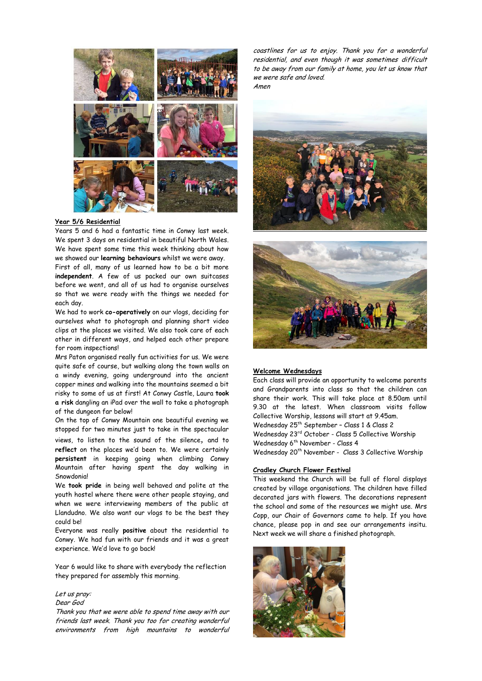

# **Year 5/6 Residential**

Years 5 and 6 had a fantastic time in Conwy last week. We spent 3 days on residential in beautiful North Wales. We have spent some time this week thinking about how we showed our **learning behaviours** whilst we were away.

First of all, many of us learned how to be a bit more **independent**. A few of us packed our own suitcases before we went, and all of us had to organise ourselves so that we were ready with the things we needed for each day.

We had to work **co-operatively** on our vlogs, deciding for ourselves what to photograph and planning short video clips at the places we visited. We also took care of each other in different ways, and helped each other prepare for room inspections!

Mrs Paton organised really fun activities for us. We were quite safe of course, but walking along the town walls on a windy evening, going underground into the ancient copper mines and walking into the mountains seemed a bit risky to some of us at first! At Conwy Castle, Laura **took a risk** dangling an iPad over the wall to take a photograph of the dungeon far below!

On the top of Conwy Mountain one beautiful evening we stopped for two minutes just to take in the spectacular views, to listen to the sound of the silence*,* and to **reflect** on the places we'd been to. We were certainly **persistent** in keeping going when climbing Conwy Mountain after having spent the day walking in Snowdonia!

We **took pride** in being well behaved and polite at the youth hostel where there were other people staying, and when we were interviewing members of the public at Llandudno. We also want our vlogs to be the best they could be!

Everyone was really **positive** about the residential to Conwy. We had fun with our friends and it was a great experience. We'd love to go back!

Year 6 would like to share with everybody the reflection they prepared for assembly this morning.

## Let us pray:

# Dear God

Thank you that we were able to spend time away with our friends last week. Thank you too for creating wonderful environments from high mountains to wonderful coastlines for us to enjoy. Thank you for a wonderful residential, and even though it was sometimes difficult to be away from our family at home, you let us know that we were safe and loved. Amen





# **Welcome Wednesdays**

Each class will provide an opportunity to welcome parents and Grandparents into class so that the children can share their work. This will take place at 8.50am until 9.30 at the latest. When classroom visits follow Collective Worship, lessons will start at 9.45am. Wednesday 25th September – Class 1 & Class 2 Wednesday 23rd October - Class 5 Collective Worship Wednesday 6<sup>th</sup> November - Class 4 Wednesday 20<sup>th</sup> November - Class 3 Collective Worship

## **Cradley Church Flower Festival**

This weekend the Church will be full of floral displays created by village organisations. The children have filled decorated jars with flowers. The decorations represent the school and some of the resources we might use. Mrs Copp, our Chair of Governors came to help. If you have chance, please pop in and see our arrangements insitu. Next week we will share a finished photograph.

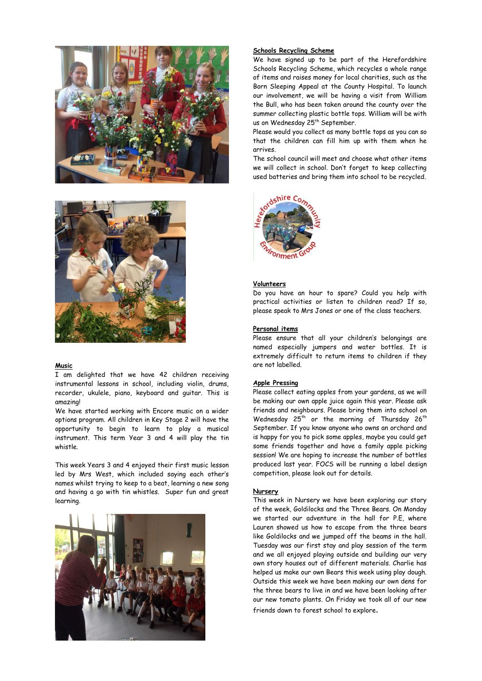



## **Music**

I am delighted that we have 42 children receiving instrumental lessons in school, including violin, drums, recorder, ukulele, piano, keyboard and guitar. This is amazing!

We have started working with Encore music on a wider options program. All children in Key Stage 2 will have the opportunity to begin to learn to play a musical instrument. This term Year 3 and 4 will play the tin whistle.

This week Years 3 and 4 enjoyed their first music lesson led by Mrs West, which included saying each other's names whilst trying to keep to a beat, learning a new song and having a go with tin whistles. Super fun and great learning.



# **Schools Recycling Scheme**

We have signed up to be part of the Herefordshire Schools Recycling Scheme, which recycles a whole range of items and raises money for local charities, such as the Born Sleeping Appeal at the County Hospital. To launch our involvement, we will be having a visit from William the Bull, who has been taken around the county over the summer collecting plastic bottle tops. William will be with us on Wednesday 25<sup>th</sup> September.

Please would you collect as many bottle tops as you can so that the children can fill him up with them when he arrives.

The school council will meet and choose what other items we will collect in school. Don't forget to keep collecting used batteries and bring them into school to be recycled.



## **Volunteers**

Do you have an hour to spare? Could you help with practical activities or listen to children read? If so, please speak to Mrs Jones or one of the class teachers.

## **Personal items**

Please ensure that all your children's belongings are named especially jumpers and water bottles. It is extremely difficult to return items to children if they are not labelled.

#### **Apple Pressing**

Please collect eating apples from your gardens, as we will be making our own apple juice again this year. Please ask friends and neighbours. Please bring them into school on Wednesday  $25<sup>th</sup>$  or the morning of Thursday  $26<sup>th</sup>$ September. If you know anyone who owns an orchard and is happy for you to pick some apples, maybe you could get some friends together and have a family apple picking session! We are hoping to increase the number of bottles produced last year. FOCS will be running a label design competition, please look out for details.

## **Nursery**

This week in Nursery we have been exploring our story of the week, Goldilocks and the Three Bears. On Monday we started our adventure in the hall for P.E, where Lauren showed us how to escape from the three bears like Goldilocks and we jumped off the beams in the hall. Tuesday was our first stay and play session of the term and we all enjoyed playing outside and building our very own story houses out of different materials. Charlie has helped us make our own Bears this week using play dough. Outside this week we have been making our own dens for the three bears to live in and we have been looking after our new tomato plants. On Friday we took all of our new friends down to forest school to explore.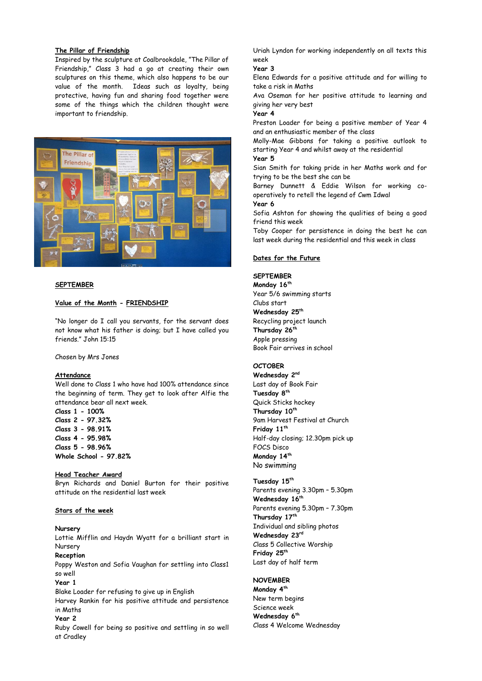# **The Pillar of Friendship**

Inspired by the sculpture at Coalbrookdale, "The Pillar of Friendship," Class 3 had a go at creating their own sculptures on this theme, which also happens to be our value of the month. Ideas such as loyalty, being protective, having fun and sharing food together were some of the things which the children thought were important to friendship.



## **SEPTEMBER**

# **Value of the Month - FRIENDSHIP**

"No longer do I call you servants, for the servant does not know what his father is doing; but I have called you friends." John 15:15

Chosen by Mrs Jones

#### **Attendance**

Well done to Class 1 who have had 100% attendance since the beginning of term. They get to look after Alfie the attendance bear all next week.

**Class 1 - 100% Class 2 - 97.32% Class 3 - 98.91% Class 4 - 95.98% Class 5 - 98.96% Whole School - 97.82%**

# **Head Teacher Award**

Bryn Richards and Daniel Burton for their positive attitude on the residential last week

# **Stars of the week**

#### **Nursery**

Lottie Mifflin and Haydn Wyatt for a brilliant start in Nursery

#### **Reception**

Poppy Weston and Sofia Vaughan for settling into Class1 so well

## **Year 1**

Blake Loader for refusing to give up in English Harvey Rankin for his positive attitude and persistence in Maths

#### **Year 2**

Ruby Cowell for being so positive and settling in so well at Cradley

Uriah Lyndon for working independently on all texts this week

#### **Year 3**

Elena Edwards for a positive attitude and for willing to take a risk in Maths

Ava Oseman for her positive attitude to learning and giving her very best

# **Year 4**

Preston Loader for being a positive member of Year 4 and an enthusiastic member of the class

Molly-Mae Gibbons for taking a positive outlook to starting Year 4 and whilst away at the residential **Year 5**

Sian Smith for taking pride in her Maths work and for trying to be the best she can be

Barney Dunnett & Eddie Wilson for working cooperatively to retell the legend of Cwm Idwal

**Year 6**

Sofia Ashton for showing the qualities of being a good friend this week

Toby Cooper for persistence in doing the best he can last week during the residential and this week in class

## **Dates for the Future**

# **SEPTEMBER**

**Monday 16th** Year 5/6 swimming starts Clubs start **Wednesday 25th** Recycling project launch **Thursday 26th** Apple pressing Book Fair arrives in school

# **OCTOBER**

**Wednesday 2nd** Last day of Book Fair **Tuesday 8th** Quick Sticks hockey **Thursday 10th** 9am Harvest Festival at Church **Friday 11th** Half-day closing; 12.30pm pick up FOCS Disco **Monday 14th** No swimming

# **Tuesday 15th**

Parents evening 3.30pm – 5.30pm **Wednesday 16th** Parents evening 5.30pm – 7.30pm **Thursday 17th** Individual and sibling photos **Wednesday 23rd** Class 5 Collective Worship **Friday 25th** Last day of half term

#### **NOVEMBER**

**Monday 4th** New term begins Science week **Wednesday 6th** Class 4 Welcome Wednesday